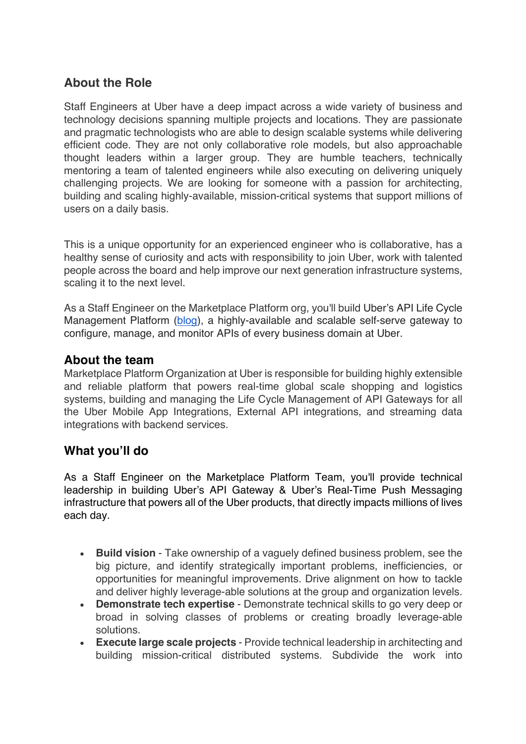# **About the Role**

Staff Engineers at Uber have a deep impact across a wide variety of business and technology decisions spanning multiple projects and locations. They are passionate and pragmatic technologists who are able to design scalable systems while delivering efficient code. They are not only collaborative role models, but also approachable thought leaders within a larger group. They are humble teachers, technically mentoring a team of talented engineers while also executing on delivering uniquely challenging projects. We are looking for someone with a passion for architecting, building and scaling highly-available, mission-critical systems that support millions of users on a daily basis.

This is a unique opportunity for an experienced engineer who is collaborative, has a healthy sense of curiosity and acts with responsibility to join Uber, work with talented people across the board and help improve our next generation infrastructure systems, scaling it to the next level.

As a Staff Engineer on the Marketplace Platform org, you'll build Uber's API Life Cycle Management Platform (blog), a highly-available and scalable self-serve gateway to configure, manage, and monitor APIs of every business domain at Uber.

### **About the team**

Marketplace Platform Organization at Uber is responsible for building highly extensible and reliable platform that powers real-time global scale shopping and logistics systems, building and managing the Life Cycle Management of API Gateways for all the Uber Mobile App Integrations, External API integrations, and streaming data integrations with backend services.

### **What you'll do**

As a Staff Engineer on the Marketplace Platform Team, you'll provide technical leadership in building Uber's API Gateway & Uber's Real-Time Push Messaging infrastructure that powers all of the Uber products, that directly impacts millions of lives each day.

- **Build vision** Take ownership of a vaguely defined business problem, see the big picture, and identify strategically important problems, inefficiencies, or opportunities for meaningful improvements. Drive alignment on how to tackle and deliver highly leverage-able solutions at the group and organization levels.
- **Demonstrate tech expertise** Demonstrate technical skills to go very deep or broad in solving classes of problems or creating broadly leverage-able solutions.
- **Execute large scale projects** Provide technical leadership in architecting and building mission-critical distributed systems. Subdivide the work into